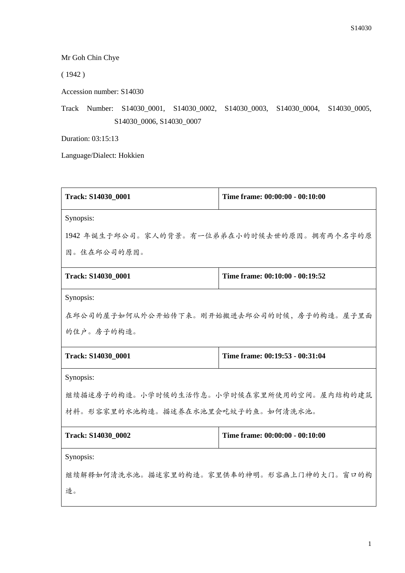Mr Goh Chin Chye

( 1942 )

Accession number: S14030

Track Number: S14030\_0001, S14030\_0002, S14030\_0003, S14030\_0004, S14030\_0005, S14030\_0006, S14030\_0007

Duration: 03:15:13

Language/Dialect: Hokkien

| Track: S14030_0001                          | Time frame: 00:00:00 - 00:10:00 |  |
|---------------------------------------------|---------------------------------|--|
| Synopsis:                                   |                                 |  |
| 1942 年诞生于邱公司。家人的背景。有一位弟弟在小的时候去世的原因。拥有两个名字的原 |                                 |  |
| 因。住在邱公司的原因。                                 |                                 |  |
| Track: S14030_0001                          | Time frame: 00:10:00 - 00:19:52 |  |
| Synopsis:                                   |                                 |  |
| 在邱公司的屋子如何从外公开始传下来。刚开始搬进去邱公司的时候,房子的构造。屋子里面   |                                 |  |
| 的住户。房子的构造。                                  |                                 |  |
| Track: S14030_0001                          | Time frame: 00:19:53 - 00:31:04 |  |
| Synopsis:                                   |                                 |  |
| 继续描述房子的构造。小学时候的生活作息。小学时候在家里所使用的空间。屋内结构的建筑   |                                 |  |
| 材料。形容家里的水池构造。描述养在水池里会吃蚊子的鱼。如何清洗水池。          |                                 |  |
| Track: S14030 0002                          | Time frame: 00:00:00 - 00:10:00 |  |
| Synopsis:                                   |                                 |  |
| 继续解释如何清洗水池。描述家里的构造。家里供奉的神明。形容画上门神的大门。窗口的构   |                                 |  |
| 造。                                          |                                 |  |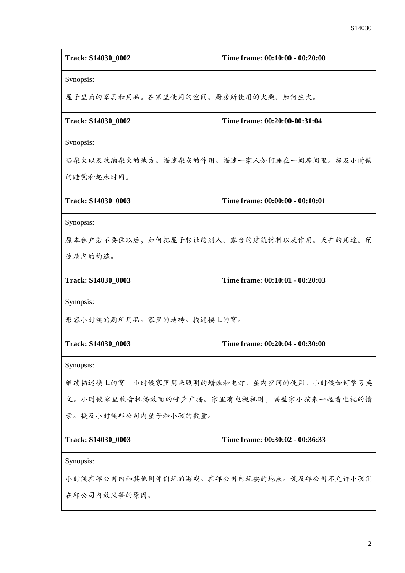| Track: S14030_0002                        | Time frame: 00:10:00 - 00:20:00           |  |
|-------------------------------------------|-------------------------------------------|--|
| Synopsis:                                 |                                           |  |
| 屋子里面的家具和用品。在家里使用的空间。厨房所使用的火柴。如何生火。        |                                           |  |
| Track: S14030 0002                        | Time frame: 00:20:00-00:31:04             |  |
| Synopsis:                                 |                                           |  |
|                                           | 晒柴火以及收纳柴火的地方。描述柴灰的作用。描述一家人如何睡在一间房间里。提及小时候 |  |
| 的睡觉和起床时间。                                 |                                           |  |
| Track: S14030_0003                        | Time frame: 00:00:00 - 00:10:01           |  |
| Synopsis:                                 |                                           |  |
|                                           | 原本租户若不要住以后,如何把屋子转让给别人。露台的建筑材料以及作用。天井的用途。阐 |  |
| 述屋内的构造。                                   |                                           |  |
| Track: S14030_0003                        | Time frame: 00:10:01 - 00:20:03           |  |
| Synopsis:                                 |                                           |  |
| 形容小时候的厕所用品。家里的地砖。描述楼上的窗。                  |                                           |  |
| Track: S14030_0003                        | Time frame: 00:20:04 - 00:30:00           |  |
| Synopsis:                                 |                                           |  |
| 继续描述楼上的窗。小时候家里用来照明的蜡烛和电灯。屋内空间的使用。小时候如何学习英 |                                           |  |
| 文。小时候家里收音机播放丽的呼声广播。家里有电视机时,隔壁家小孩来一起看电视的情  |                                           |  |
| 景。提及小时候邱公司内屋子和小孩的数量。                      |                                           |  |
| Track: S14030_0003                        | Time frame: 00:30:02 - 00:36:33           |  |
| Synopsis:                                 |                                           |  |
| 小时候在邱公司内和其他同伴们玩的游戏。在邱公司内玩耍的地点。谈及邱公司不允许小孩们 |                                           |  |
| 在邱公司内放风筝的原因。                              |                                           |  |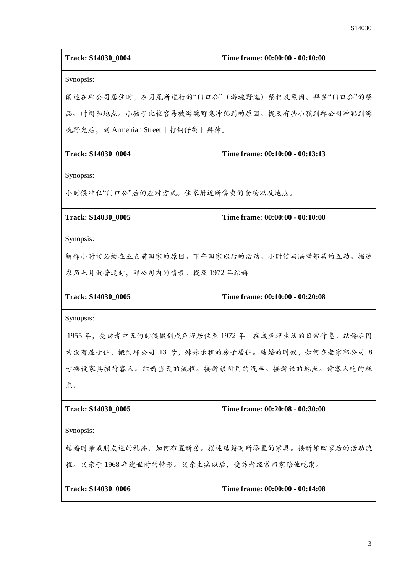| Track: S14030_0004                           | Time frame: 00:00:00 - 00:10:00                 |  |
|----------------------------------------------|-------------------------------------------------|--|
| Synopsis:                                    |                                                 |  |
| 阐述在邱公司居住时, 在月尾所进行的"门口公"(游魂野鬼)祭祀及原因。拜祭"门口公"的祭 |                                                 |  |
|                                              | 品、时间和地点。小孩子比较容易被游魂野鬼冲犯到的原因。提及有些小孩到邱公司冲犯到游       |  |
| 魂野鬼后, 到 Armenian Street [打铜仔街] 拜神。           |                                                 |  |
| Track: S14030_0004                           | Time frame: 00:10:00 - 00:13:13                 |  |
| Synopsis:                                    |                                                 |  |
| 小时候冲犯"门口公"后的应对方式。住家附近所售卖的食物以及地点。             |                                                 |  |
| Track: S14030_0005                           | Time frame: 00:00:00 - 00:10:00                 |  |
| Synopsis:                                    |                                                 |  |
| 解释小时候必须在五点前回家的原因。下午回家以后的活动。小时候与隔壁邻居的互动。描述    |                                                 |  |
| 农历七月做普渡时, 邱公司内的情景。提及1972年结婚。                 |                                                 |  |
| Track: S14030_0005                           | Time frame: 00:10:00 - 00:20:08                 |  |
| Synopsis:                                    |                                                 |  |
| 1955年,受访者中五的时候搬到咸鱼埕居住至1972年。在咸鱼埕生活的日常作息。结婚后因 |                                                 |  |
|                                              | 为没有屋子住, 搬到邱公司 13 号, 妹妹承租的房子居住。结婚的时候, 如何在老家邱公司 8 |  |
| 号摆设家具招待客人。结婚当天的流程。接新娘所用的汽车。接新娘的地点。请客人吃的糕     |                                                 |  |
| 点。                                           |                                                 |  |
| Track: S14030_0005                           | Time frame: 00:20:08 - 00:30:00                 |  |
| Synopsis:                                    |                                                 |  |
| 结婚时亲戚朋友送的礼品。如何布置新房。描述结婚时所添置的家具。接新娘回家后的活动流    |                                                 |  |
| 程。父亲于1968年逝世时的情形。父亲生病以后,受访者经常回家陪他吃粥。         |                                                 |  |
| Track: S14030_0006                           | Time frame: 00:00:00 - 00:14:08                 |  |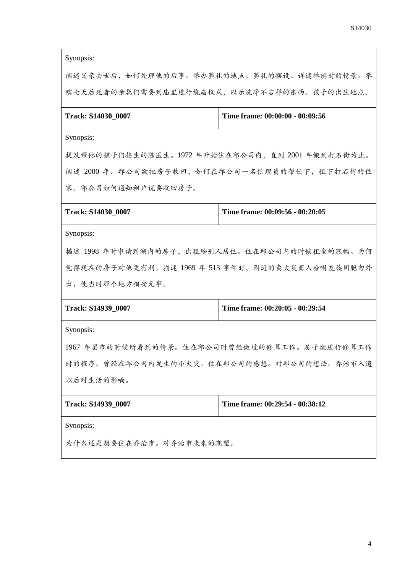Synopsis:

阐述父亲去世后,如何处理他的后事。举办葬礼的地点。葬礼的摆设。详述举殡时的情景。举 殡七天后死者的亲属们需要到庙里进行绕庙仪式,以示洗净不吉祥的东西。孩子的出生地点。

| Track: S14030 0007 | Time frame: 00:00:00 - 00:09:56 |
|--------------------|---------------------------------|
|--------------------|---------------------------------|

Synopsis:

提及帮他的孩子们接生的陈医生。1972 年开始住在邱公司内,直到 2001 年搬到打石街为止。 阐述 2000 年,邱公司欲把房子收回,如何在邱公司一名信理员的帮忙下,租下打石街的住 家。邱公司如何通知租户说要收回房子。

| Track: S14030 0007 | Time frame: $00:09:56 - 00:20:05$ |
|--------------------|-----------------------------------|
|                    |                                   |

Synopsis:

描述 1998 年时申请到湖内的房子,出租给别人居住。住在邱公司内的时候租金的涨幅。为何 觉得现在的房子对他更有利。描述 1969 年 513 事件时,附近的卖火炭商人吩咐友族同胞勿外 出,使当时那个地方相安无事。

| Track: S14939 0007 | Time frame: $00:20:05 - 00:29:54$ |
|--------------------|-----------------------------------|
|                    |                                   |

Synopsis:

1967 年罢市的时候所看到的情景。住在邱公司时曾经做过的修葺工作。房子欲进行修葺工作 时的程序。曾经在邱公司内发生的小火灾。住在邱公司的感想。对邱公司的想法。乔治市入遗 以后对生活的影响。

| Track: S14939 0007 | Time frame: $00:29:54 - 00:38:12$ |
|--------------------|-----------------------------------|
|                    |                                   |

Synopsis:

为什么还是想要住在乔治市。对乔治市未来的期望。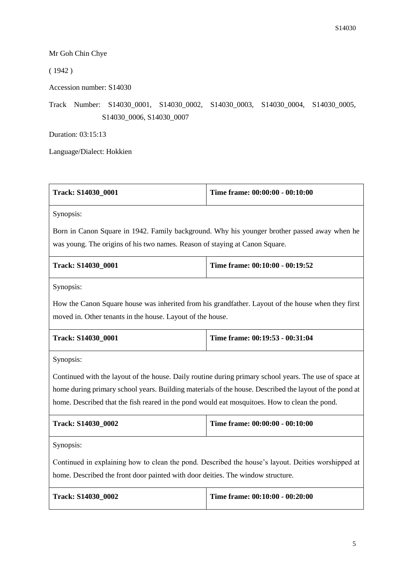## Mr Goh Chin Chye

 $(1942)$ 

Accession number: S14030

Track Number: S14030\_0001, S14030\_0002, S14030\_0003, S14030\_0004, S14030\_0005, S14030\_0006, S14030\_0007

Duration: 03:15:13

Language/Dialect: Hokkien

| Track: S14030_0001                                                                                     | Time frame: 00:00:00 - 00:10:00                                                                    |  |
|--------------------------------------------------------------------------------------------------------|----------------------------------------------------------------------------------------------------|--|
| Synopsis:                                                                                              |                                                                                                    |  |
| Born in Canon Square in 1942. Family background. Why his younger brother passed away when he           |                                                                                                    |  |
| was young. The origins of his two names. Reason of staying at Canon Square.                            |                                                                                                    |  |
| Track: S14030_0001                                                                                     | Time frame: 00:10:00 - 00:19:52                                                                    |  |
| Synopsis:                                                                                              |                                                                                                    |  |
|                                                                                                        | How the Canon Square house was inherited from his grandfather. Layout of the house when they first |  |
| moved in. Other tenants in the house. Layout of the house.                                             |                                                                                                    |  |
| Track: S14030_0001                                                                                     | Time frame: 00:19:53 - 00:31:04                                                                    |  |
| Synopsis:                                                                                              |                                                                                                    |  |
| Continued with the layout of the house. Daily routine during primary school years. The use of space at |                                                                                                    |  |
| home during primary school years. Building materials of the house. Described the layout of the pond at |                                                                                                    |  |
| home. Described that the fish reared in the pond would eat mosquitoes. How to clean the pond.          |                                                                                                    |  |
| Track: S14030_0002                                                                                     | Time frame: 00:00:00 - 00:10:00                                                                    |  |
| Synopsis:                                                                                              |                                                                                                    |  |
| Continued in explaining how to clean the pond. Described the house's layout. Deities worshipped at     |                                                                                                    |  |
| home. Described the front door painted with door deities. The window structure.                        |                                                                                                    |  |
| Track: S14030_0002                                                                                     | Time frame: 00:10:00 - 00:20:00                                                                    |  |
|                                                                                                        |                                                                                                    |  |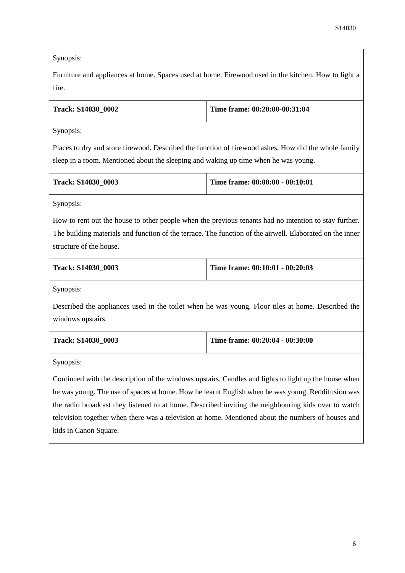Synopsis:

Furniture and appliances at home. Spaces used at home. Firewood used in the kitchen. How to light a fire.

| <b>Track: S14030 0002</b> | Time frame: $00:20:00-00:31:04$ |
|---------------------------|---------------------------------|
|---------------------------|---------------------------------|

Synopsis:

Places to dry and store firewood. Described the function of firewood ashes. How did the whole family sleep in a room. Mentioned about the sleeping and waking up time when he was young.

| <b>Track: S14030 0003</b> | Time frame: $00:00:00 - 00:10:01$ |
|---------------------------|-----------------------------------|
|                           |                                   |

Synopsis:

How to rent out the house to other people when the previous tenants had no intention to stay further. The building materials and function of the terrace. The function of the airwell. Elaborated on the inner structure of the house.

| <b>Track: S14030 0003</b> | Time frame: 00:10:01 - 00:20:03 |
|---------------------------|---------------------------------|
|                           |                                 |

Synopsis:

Described the appliances used in the toilet when he was young. Floor tiles at home. Described the windows upstairs.

| <b>Track: S14030 0003</b> | Time frame: $00:20:04 - 00:30:00$ |
|---------------------------|-----------------------------------|
|                           |                                   |

Synopsis:

Continued with the description of the windows upstairs. Candles and lights to light up the house when he was young. The use of spaces at home. How he learnt English when he was young. Reddifusion was the radio broadcast they listened to at home. Described inviting the neighbouring kids over to watch television together when there was a television at home. Mentioned about the numbers of houses and kids in Canon Square.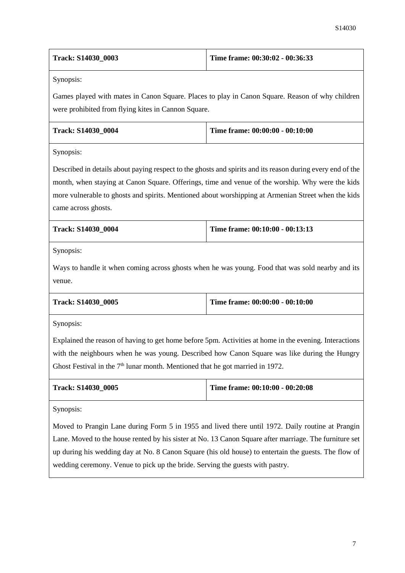| Track: S14030_0003                                                                                     | Time frame: 00:30:02 - 00:36:33                                                                            |  |
|--------------------------------------------------------------------------------------------------------|------------------------------------------------------------------------------------------------------------|--|
| Synopsis:                                                                                              |                                                                                                            |  |
|                                                                                                        | Games played with mates in Canon Square. Places to play in Canon Square. Reason of why children            |  |
| were prohibited from flying kites in Cannon Square.                                                    |                                                                                                            |  |
| Track: S14030_0004                                                                                     | Time frame: 00:00:00 - 00:10:00                                                                            |  |
| Synopsis:                                                                                              |                                                                                                            |  |
|                                                                                                        | Described in details about paying respect to the ghosts and spirits and its reason during every end of the |  |
|                                                                                                        | month, when staying at Canon Square. Offerings, time and venue of the worship. Why were the kids           |  |
|                                                                                                        | more vulnerable to ghosts and spirits. Mentioned about worshipping at Armenian Street when the kids        |  |
| came across ghosts.                                                                                    |                                                                                                            |  |
| Track: S14030_0004                                                                                     | Time frame: 00:10:00 - 00:13:13                                                                            |  |
| Synopsis:                                                                                              |                                                                                                            |  |
|                                                                                                        | Ways to handle it when coming across ghosts when he was young. Food that was sold nearby and its           |  |
| venue.                                                                                                 |                                                                                                            |  |
| Track: S14030_0005                                                                                     | Time frame: 00:00:00 - 00:10:00                                                                            |  |
| Synopsis:                                                                                              |                                                                                                            |  |
|                                                                                                        | Explained the reason of having to get home before 5pm. Activities at home in the evening. Interactions     |  |
|                                                                                                        | with the neighbours when he was young. Described how Canon Square was like during the Hungry               |  |
| Ghost Festival in the $7th$ lunar month. Mentioned that he got married in 1972.                        |                                                                                                            |  |
| Track: S14030_0005                                                                                     | Time frame: 00:10:00 - 00:20:08                                                                            |  |
| Synopsis:                                                                                              |                                                                                                            |  |
| Moved to Prangin Lane during Form 5 in 1955 and lived there until 1972. Daily routine at Prangin       |                                                                                                            |  |
| Lane. Moved to the house rented by his sister at No. 13 Canon Square after marriage. The furniture set |                                                                                                            |  |
| up during his wedding day at No. 8 Canon Square (his old house) to entertain the guests. The flow of   |                                                                                                            |  |
| wedding ceremony. Venue to pick up the bride. Serving the guests with pastry.                          |                                                                                                            |  |
|                                                                                                        |                                                                                                            |  |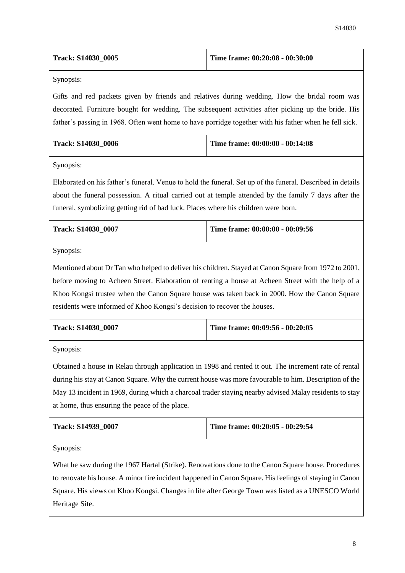| <b>Track: S14030 0005</b> | Time frame: $00:20:08 - 00:30:00$ |
|---------------------------|-----------------------------------|
|---------------------------|-----------------------------------|

Synopsis:

Gifts and red packets given by friends and relatives during wedding. How the bridal room was decorated. Furniture bought for wedding. The subsequent activities after picking up the bride. His father's passing in 1968. Often went home to have porridge together with his father when he fell sick.

| <b>Track: S14030 0006</b> | Time frame: $00:00:00 - 00:14:08$ |
|---------------------------|-----------------------------------|
|                           |                                   |

Synopsis:

Elaborated on his father's funeral. Venue to hold the funeral. Set up of the funeral. Described in details about the funeral possession. A ritual carried out at temple attended by the family 7 days after the funeral, symbolizing getting rid of bad luck. Places where his children were born.

| <b>Track: S14030 0007</b> | Time frame: 00:00:00 - 00:09:56 |
|---------------------------|---------------------------------|
|                           |                                 |

Synopsis:

Mentioned about Dr Tan who helped to deliver his children. Stayed at Canon Square from 1972 to 2001, before moving to Acheen Street. Elaboration of renting a house at Acheen Street with the help of a Khoo Kongsi trustee when the Canon Square house was taken back in 2000. How the Canon Square residents were informed of Khoo Kongsi's decision to recover the houses.

| <b>Track: S14030 0007</b> | Time frame: $00:09:56 - 00:20:05$ |
|---------------------------|-----------------------------------|
|                           |                                   |

Synopsis:

Obtained a house in Relau through application in 1998 and rented it out. The increment rate of rental during his stay at Canon Square. Why the current house was more favourable to him. Description of the May 13 incident in 1969, during which a charcoal trader staying nearby advised Malay residents to stay at home, thus ensuring the peace of the place.

| <b>Track: S14939 0007</b> | Time frame: $00:20:05 - 00:29:54$ |
|---------------------------|-----------------------------------|
|                           |                                   |

Synopsis:

What he saw during the 1967 Hartal (Strike). Renovations done to the Canon Square house. Procedures to renovate his house. A minor fire incident happened in Canon Square. His feelings of staying in Canon Square. His views on Khoo Kongsi. Changes in life after George Town was listed as a UNESCO World Heritage Site.